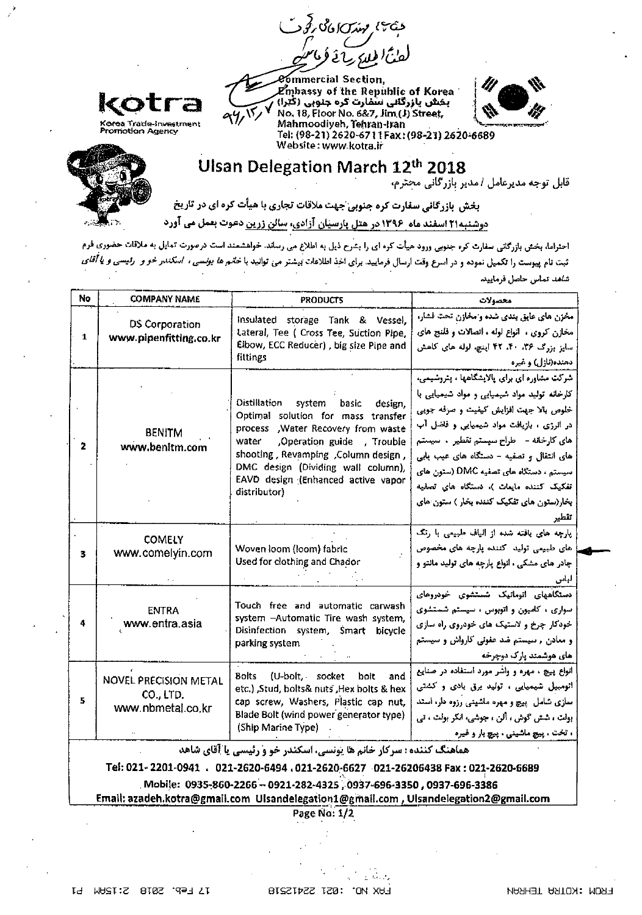دجتهع مهدرانا فاقتلج دفود



mmercial Section,  $\mathbf{z}$ mbassy of the Republic of Korea بخش بازرگانی سفارت کره جنوبی (گَتَرا) No. 18, Floor No. 6&7, Jim (J) Street, Mahmoodiyeh, Tehran-tran Tel: (98-21) 2620-6711 Fax: (98-21) 2620-6689 Website: www.kotra.ir



Ulsan Delegation March 12<sup>th</sup> 2018<br>قابل توجه مدیرعامل *ا*مدیر بازرگانی محترم،

بخش بازرگانی سفارت کره جنوبی جهت ملاقات تجاری با هیأت کره ای در تاریخ دوشنبه۲۱ اسفند ماه ۱۳۹۶ در هتل بارسیان آزادی، سالن زرین دعوت بعمل می آورد

احتراما، بخش بازرگانی سفارت کره جنوبی ورود هیأت کره ای را بشرح ذیل به اطلاع می رساند. خواهشمند است درصورت تمایل به ملاقات حضوری فرم ثبت نام پیوست را تکمیل نموده و در اسرع وقت ارسال فرمایید. برای اخذ اطلاعات بیشتر می توانید با *خانم ها یونسی ، اسکندر خو و رئیسی و یا آقای* شاهد تماس حاصل فرماييد

| No                                                                                                                                                              | <b>COMPANY NAME</b>                                            | <b>PRODUCTS</b>                                                                                                                                                                                                                                                                            | محصولات                                                                                                                                                                                                                                                                                                                                                                                                              |  |  |  |
|-----------------------------------------------------------------------------------------------------------------------------------------------------------------|----------------------------------------------------------------|--------------------------------------------------------------------------------------------------------------------------------------------------------------------------------------------------------------------------------------------------------------------------------------------|----------------------------------------------------------------------------------------------------------------------------------------------------------------------------------------------------------------------------------------------------------------------------------------------------------------------------------------------------------------------------------------------------------------------|--|--|--|
| 1                                                                                                                                                               | DS Corporation<br>www.pipenfitting.co.kr                       | Insulated storage Tank & Vessel,<br>Lateral, Tee ( Cross Tee, Suction Pipe,<br>Elbow, ECC Reducer), big size Pipe and<br>fittings                                                                                                                                                          | مخزن های عایق بندی شده و مخازن تحت فشار،<br>مخازن کروی ، انواع لوله ، اتصالات و قلنج های<br>سایز بزرگ ۳۶. ۴۰. ۴۲ اینچ. لوله های کاهش<br>دسنده(نازل) و غیره                                                                                                                                                                                                                                                           |  |  |  |
| 2                                                                                                                                                               | <b>BENITM</b><br>www.benitm.com                                | Distillation system basic<br>design.<br>Optimal solution for mass transfer<br>process , Water Recovery from waste<br>Operation guide , Trouble<br>water<br>shooting, Revamping, Column design,<br>DMC design (Dividing wall column),<br>EAVD design (Enhanced active vapor<br>distributor) | شرکت مشاوره ای برای پالایشگاهها ، پتروشیمی،<br>کارخانه تولید مواد شیمیایی و مواد شیمیایی با<br>خلوص بالا جهت افزایش کیفیت و صرفه جویی<br>در انرژی ، بازیافت مواد شیمیایی و فاضل آب<br>های کارخانه - - طراح سیستم تقطیر ۰ سیستم<br>های انتقال و تصفیه - دستگاه های عیب بابی<br>سیستم ، دستگاه های تصفیه DMC (ستون های<br>تفکیک کننده مایعات )، دستگاه های تصفیه<br>بخار(ستون های تفکیک کننده بخار ) ستون های<br>تقطير |  |  |  |
| 3.                                                                                                                                                              | <b>COMELY</b><br>www.comelyin.com                              | Woven loom (loom) fabric<br>Used for clothing and Chador                                                                                                                                                                                                                                   | پارچه های بافته شده از البانیه طبیعی با رنگ<br>های طبیعی تولید کننده پارچه های مخصوص<br>چادر های مشکی ، انواع پارچه های تولید مانتو و<br>ليس                                                                                                                                                                                                                                                                         |  |  |  |
| 4                                                                                                                                                               | <b>ENTRA</b><br>www.entra.asia                                 | Touch free and automatic carwash<br>system - Automatic Tire wash system,<br>Disinfection system, Smart bicycle<br>parking system                                                                                                                                                           | دستگاههای اتوماتیک شستشوی خودروهای<br>سواری ، کامیون و اتوبوس ، سیستم شستشوی<br>خودکار چرخ و لاستیک های خودروی راه سازی<br>و معادن , سیستم ضد عفونی کارواش و سیستم<br>های عوشمند پار که دوچرخه                                                                                                                                                                                                                       |  |  |  |
| 5.                                                                                                                                                              | <b>NOVEL PRECISION METAL</b><br>CO., LTD.<br>www.nbmetal.co.kr | Bolts (U-bolt, socket<br>bolt<br>and<br>etc.) Stud, bolts& nuts Hex bolts & hex<br>cap screw, Washers, Plastic cap nut,<br>Blade Bolt (wind power generator type)<br>(Ship Marine Type)                                                                                                    | انواع پیچ ، مهره و واشر مورد استفاده در صنایع<br>اتومبیل شیمیایی ، تولید برقی بادی و کشتی<br>سازی شامل ببیچ و مهره ماشینی رزوه دار. استد<br>بولت ، شش گوش ، آلن ، جوشی، انکر بولت ، تی<br>، تخت . پیچ ماشینی . پیچ بار و غیره                                                                                                                                                                                        |  |  |  |
| هماهنگ کننده : سرکار خانم ها یونسی، اسکندر خو و رئیسی یا آقای شاهد<br>Tel: 021- 2201-0941  .   021-2620-6494  .021-2620-6627  .021-26206438 Fax • 021-2620-6689 |                                                                |                                                                                                                                                                                                                                                                                            |                                                                                                                                                                                                                                                                                                                                                                                                                      |  |  |  |

Mobile: 0935-860-2266 - 0921-282-4325, 0937-696-3350, 0937-696-3386

Email: azadeh.kotra@gmail.com Ulsandelegation1@gmail.com , Ulsandelegation2@gmail.com

Page No: 1/2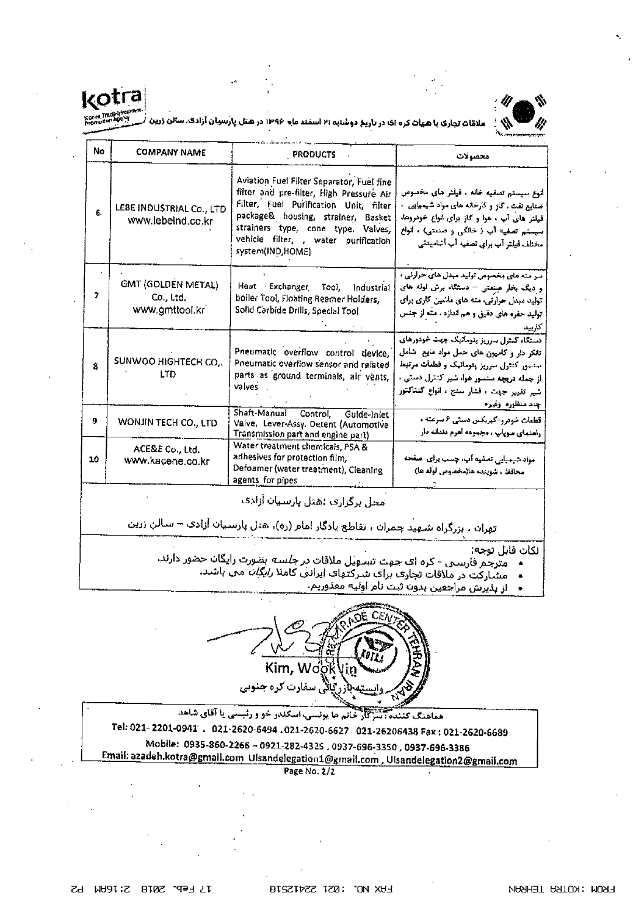

ملامّات تچاری با هیات کره ای در تاریخ دوشنبه ۲۱ اسفند ماه ۱۳۹۶ در هتل پارسیان آزادگ، سالن



| No           | <b>COMPANY NAME</b>                                      | <b>PRODUCTS</b>                                                                                                                                                                                                                                                         | محصولات                                                                                                                                                                                                                                            |
|--------------|----------------------------------------------------------|-------------------------------------------------------------------------------------------------------------------------------------------------------------------------------------------------------------------------------------------------------------------------|----------------------------------------------------------------------------------------------------------------------------------------------------------------------------------------------------------------------------------------------------|
| 6.           | LEBE INDUSTRIAL Co., LTD<br>www.lebeind.co.kr            | Aviation Fuel Filter Separator, Fuel fine<br>filter and pre-filter, High Pressure Air<br>Filter, Fuel Purification Unit, filter<br>package& housing, strainer, Basket<br>strainers type, cone type. Valves,<br>vehicle filter, , water purification<br>system(IND,HOME) | اتوع سيستم تصفيه خانه ، فيلثر هاى مخصوص<br>خنایع نفث ، گاز و کارخانه های مواد شیمیایی .<br>فیلتر های آب ، هوا و کاز برای انواع خودروها،<br>سیستم تعفیه آب ( خانگی و صنعتی) ، انواع<br>مختلف فيلتر آب براى تصفيد أب أشاميدنى                        |
| 7            | <b>GMT (GOLDEN METAL)</b><br>Co., Ltd.<br>www.gmttool.kr | Heat Exchanger Tool, Industrial<br>boiler Tool, Floating Reamer Holders,<br>Solid Carbide Drills, Special Tool                                                                                                                                                          | سر منه های مخصوص تولید مبدل های حرارتی ،<br>و دیگ بخار عبنعتی – دستگاه برش لوله های<br>تولید میدل حرارتی، مته های ماشین کاری برای<br>تولید حفره های دقیق و هم اندازد . مته از جنس<br>كاربيد                                                        |
| $\mathbf{g}$ | SUNWOO HIGHTECH CO.<br>LTD.                              | Pneumatic overflow control device,<br>Pneumatic overflow sensor and related<br>parts as ground terminals, air vents,<br>valves                                                                                                                                          | دستگاه کنترل سرریز یتومانیک جهت خودورهای<br>تانکر دار و کامپون های حمل مواد مایع شامل<br>ستسور كنتزل سرريز ينومانيك و قطعات مرتبط<br>از جمله دریچه سنمور هوا، شیر کنترل دستی .<br>شیر تفییر جهت ، فشار سنج ، انواع کنتاکتور<br>إ چند منظوره اوغیر» |
| 9            | WONJIN TECH CO., LTD                                     | Shaft-Manual Control, Gulde-Inlet<br>Valve, Lever-Assy, Detent (Automotive<br>Transmission part and engine part)                                                                                                                                                        | قطعات خودرو-گهربکس دستی ۶ سرعته ،<br>راهنمای سوپاپ ، مجموعه آهرم دندانه دار                                                                                                                                                                        |
| 10           | ACE&E Co., Ltd.<br>www.kacene.co.kr                      | Water treatment chemicals, PSA &<br>adhesives for protection film,<br>Defoamer (water treatment), Cleaning<br>agents for pipes                                                                                                                                          | مواد شیمیایی تصفیه آب، چسب برای اصفحه<br>محافظ ، شوينده ها(مخصوص لوله ها)                                                                                                                                                                          |

محل برگزارف :هتل پارسیان آزادف

تهران ، بزرگراه شـهید چمران ، تقاطع یادگار امام (ره)، هتل پارسیان آزادک – سالن زرین

نكات قابل توجه:

- .<br>مترجم فارسـی کره اف جهت تسـهیل ملاقات د*ر جلسـه* بضورت رایگان حضور دارند.<br>مشـارکت در ملاقات تجارف برای شـرکتهای ایرانبی کاملا *رایگان* مبی باشـد.  $\bullet$ 
	- - از ہدیرش مراجعین ہدون ثبت نام اولیه معذوریم.



خانم ما پولسی، اسکندر خو و رئیسی یا آقای شاهد مماهنگ کنا Tel: 021-2201-0941 . 021-2620-6494 .021-2620-6627 021-26206438 Fax: 021-2620-6689 Mobile: 0935-860-2266 - 0921-282-4325 , 0937-696-3350 , 0937-696-3386 Email: azadeh.kotra@gmail.com Ulsandelegation1@gmail.com , Ulsandelegation2@gmail.com

Page No. 2/2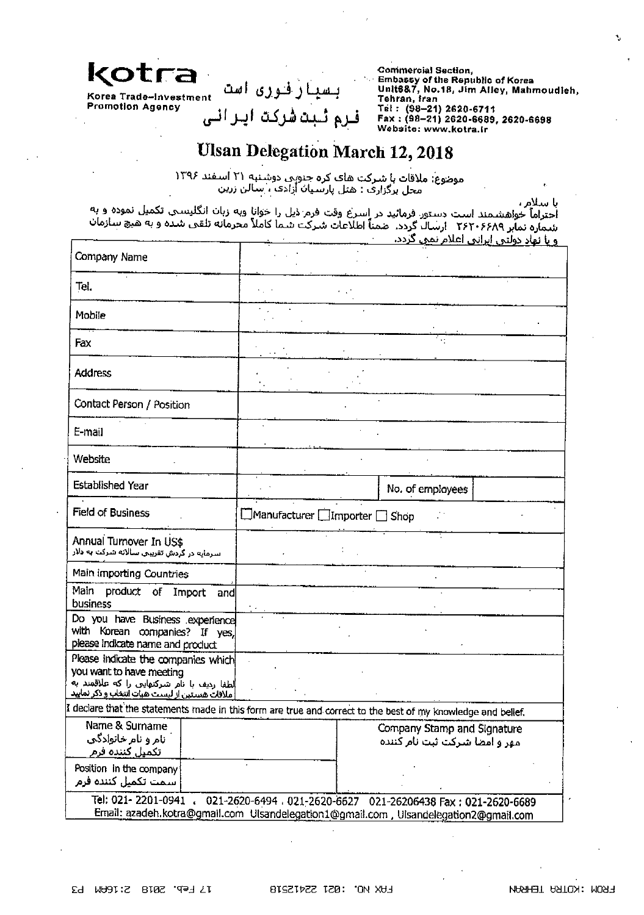

Korea Trade-Investment **Promotion Agency** 

فرم ثبتشركت ايرانى

بسیارفوری است

**Commercial Section,** Embassy of the Republic of Korea<br>Unit6&7, No.18, Jim Alley, Mahmoudieh, Tehran, fran Tel: (98-21) 2620-6711 Fax: (98-21) 2620-6689, 2620-6698 Website: www.kotra.ir

## **Ulsan Delegation March 12, 2018**

موضوع: ملاقات با شرکت هاک کره جنوبی دوشنبه ۲۱ اسـفند ۱۳۹۶<br>- محل برگزاری : هتل پارسـیان آزادک ، سالن زرین

با سلام ،

احتراماً خواهشمند است دستور فرمائید در اسرع وقت فرم ذیل را خوانا وبه زبان انگلیستی تکمیل نموده و به<br>شماره نمایر ۲۶۲۰۶۶۸۹ ارسال گردد. صمناً اطلاعات شرکت شما کاملاً محرمانه تلقی شده و به هیچ سازمان <u>و یا نهاد دولتی ایرانی اعلام نمو، گردد.</u>

| Company Name                                                                                                                                                                |                                |                                                              |                  |  |  |  |
|-----------------------------------------------------------------------------------------------------------------------------------------------------------------------------|--------------------------------|--------------------------------------------------------------|------------------|--|--|--|
| Tel.                                                                                                                                                                        |                                |                                                              |                  |  |  |  |
| Mobile                                                                                                                                                                      |                                |                                                              |                  |  |  |  |
| Fax                                                                                                                                                                         |                                |                                                              |                  |  |  |  |
| <b>Address</b>                                                                                                                                                              |                                |                                                              |                  |  |  |  |
| Contact Person / Position                                                                                                                                                   |                                |                                                              |                  |  |  |  |
| E-mail                                                                                                                                                                      |                                |                                                              |                  |  |  |  |
| Website                                                                                                                                                                     |                                |                                                              |                  |  |  |  |
| Established Year                                                                                                                                                            |                                |                                                              | No. of employees |  |  |  |
| Field of Business                                                                                                                                                           | □Manufacturer □Importer □ Shop |                                                              |                  |  |  |  |
| Annual Turnover In US\$<br>سرمایه در گردش تقریبی سالانه شرکت به دلار                                                                                                        |                                |                                                              |                  |  |  |  |
| Main importing Countries                                                                                                                                                    |                                |                                                              |                  |  |  |  |
| Main<br>product of Import<br>andl<br>business                                                                                                                               |                                |                                                              |                  |  |  |  |
| Do you have Business experience<br>with Korean companies? If yes,<br>please indicate name and product                                                                       |                                |                                                              |                  |  |  |  |
| Please indicate the companies which<br>you want to have meeting<br> لطفا ردیف با نام شرکتهایی را که علاقمند به<br><u>ملاقات هستین از لیست هیات انتخاب و ذکر نمایید</u>      |                                |                                                              |                  |  |  |  |
| I declare that the statements made in this form are true and correct to the best of my knowledge and bellef.                                                                |                                |                                                              |                  |  |  |  |
| Name & Surname<br>نام و نام خانوادگی<br>تكميل كننده فرم                                                                                                                     |                                | Company Stamp and Signature<br>مهر و امضا شرکت ثبت نام کننده |                  |  |  |  |
| Position in the company<br>سمت تكميل كننده فرم                                                                                                                              |                                |                                                              |                  |  |  |  |
| Tel: 021-2201-0941<br>021-2620-6494 . 021-2620-6627 021-26206438 Fax: 021-2620-6689<br>Email: azadeh.kotra@gmail.com Ulsandelegation1@gmail.com, Ulsandelegation2@gmail.com |                                |                                                              |                  |  |  |  |